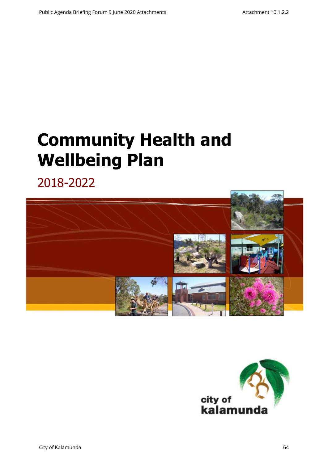# **Community Health and Wellbeing Plan**

2018-2022



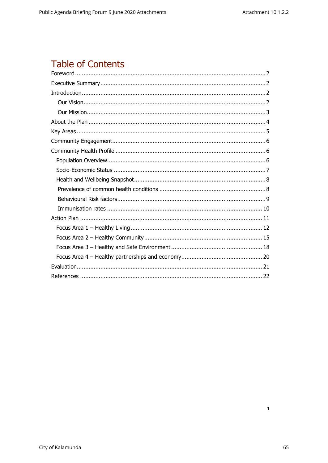## **Table of Contents**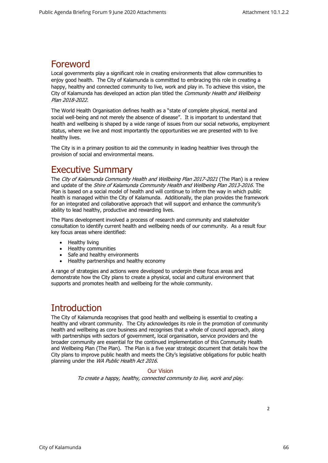### <span id="page-2-0"></span>Foreword

Local governments play a significant role in creating environments that allow communities to enjoy good health. The City of Kalamunda is committed to embracing this role in creating a happy, healthy and connected community to live, work and play in. To achieve this vision, the City of Kalamunda has developed an action plan titled the Community Health and Wellbeing Plan 2018-2022.

The World Health Organisation defines health as a "state of complete physical, mental and social well-being and not merely the absence of disease". It is important to understand that health and wellbeing is shaped by a wide range of issues from our social networks, employment status, where we live and most importantly the opportunities we are presented with to live healthy lives.

<span id="page-2-1"></span>The City is in a primary position to aid the community in leading healthier lives through the provision of social and environmental means.

### Executive Summary

The City of Kalamunda Community Health and Wellbeing Plan 2017-2021 (The Plan) is a review and update of the Shire of Kalamunda Community Health and Wellbeing Plan 2013-2016. The Plan is based on a social model of health and will continue to inform the way in which public health is managed within the City of Kalamunda. Additionally, the plan provides the framework for an integrated and collaborative approach that will support and enhance the community's ability to lead healthy, productive and rewarding lives.

The Plans development involved a process of research and community and stakeholder consultation to identify current health and wellbeing needs of our community. As a result four key focus areas where identified:

- Healthy living
- Healthy communities
- Safe and healthy environments
- Healthy partnerships and healthy economy

A range of strategies and actions were developed to underpin these focus areas and demonstrate how the City plans to create a physical, social and cultural environment that supports and promotes health and wellbeing for the whole community.

### **Introduction**

<span id="page-2-2"></span>The City of Kalamunda recognises that good health and wellbeing is essential to creating a healthy and vibrant community. The City acknowledges its role in the promotion of community health and wellbeing as core business and recognises that a whole of council approach, along with partnerships with sectors of government, local organisation, service providers and the broader community are essential for the continued implementation of this Community Health and Wellbeing Plan (The Plan). The Plan is a five year strategic document that details how the City plans to improve public health and meets the City's legislative obligations for public health planning under the WA Public Health Act 2016.

#### Our Vision

<span id="page-2-3"></span>To create a happy, healthy, connected community to live, work and play.

 $\overline{2}$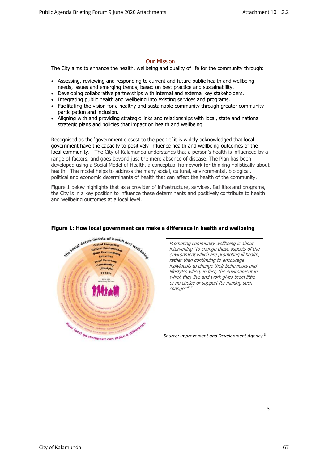#### Our Mission

<span id="page-3-0"></span>The City aims to enhance the health, wellbeing and quality of life for the community through:

- Assessing, reviewing and responding to current and future public health and wellbeing needs, issues and emerging trends, based on best practice and sustainability.
- Developing collaborative partnerships with internal and external key stakeholders.
- Integrating public health and wellbeing into existing services and programs.
- Facilitating the vision for a healthy and sustainable community through greater community participation and inclusion.
- Aligning with and providing strategic links and relationships with local, state and national strategic plans and policies that impact on health and wellbeing.

Recognised as the 'government closest to the people' it is widely acknowledged that local government have the capacity to positively influence health and wellbeing outcomes of the local community. <sup>1</sup> The City of Kalamunda understands that a person's health is influenced by a range of factors, and goes beyond just the mere absence of disease. The Plan has been developed using a Social Model of Health, a conceptual framework for thinking holistically about health. The model helps to address the many social, cultural, environmental, biological, political and economic determinants of health that can affect the health of the community.

Figure 1 below highlights that as a provider of infrastructure, services, facilities and programs, the City is in a key position to influence these determinants and positively contribute to health and wellbeing outcomes at a local level.



#### **Figure 1: How local government can make a difference in health and wellbeing**

Promoting community wellbeing is about intervening "to change those aspects of th<sup>e</sup> environment which are promoting ill health, rather than continuing to encourage individuals to change their behaviours and lifestyles when, in fact, the environment in which they live and work gives them little or no choice or support for making such changes".<sup>2</sup>

*Source: Improvement and Development Agency* <sup>3</sup>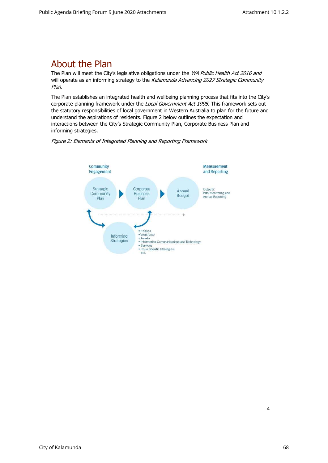### <span id="page-4-0"></span>About the Plan

The Plan will meet the City's legislative obligations under the WA Public Health Act 2016 and will operate as an informing strategy to the Kalamunda Advancing 2027 Strategic Community Plan.

The Plan establishes an integrated health and wellbeing planning process that fits into the City's corporate planning framework under the Local Government Act 1995. This framework sets out the statutory responsibilities of local government in Western Australia to plan for the future and understand the aspirations of residents. Figure 2 below outlines the expectation and interactions between the City's Strategic Community Plan, Corporate Business Plan and informing strategies.



Figure 2: Elements of Integrated Planning and Reporting Framework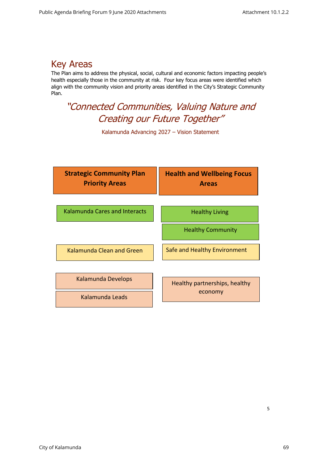### <span id="page-5-0"></span>Key Areas

The Plan aims to address the physical, social, cultural and economic factors impacting people's health especially those in the community at risk. Four key focus areas were identified which align with the community vision and priority areas identified in the City's Strategic Community Plan.

### "Connected Communities, Valuing Nature and Creating our Future Together"

Kalamunda Advancing 2027 – Vision Statement

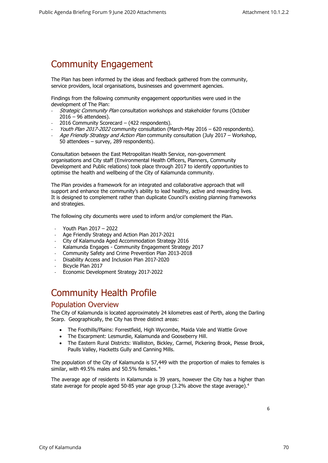### <span id="page-6-0"></span>Community Engagement

The Plan has been informed by the ideas and feedback gathered from the community, service providers, local organisations, businesses and government agencies.

Findings from the following community engagement opportunities were used in the development of The Plan:

- Strategic Community Plan consultation workshops and stakeholder forums (October 2016 – 96 attendees).
- 2016 Community Scorecard (422 respondents).
- Youth Plan 2017-2022 community consultation (March-May 2016 620 respondents).
- Age Friendly Strategy and Action Plan community consultation (July 2017 Workshop, 50 attendees – survey, 289 respondents).

Consultation between the East Metropolitan Health Service, non-government organisations and City staff (Environmental Health Officers, Planners, Community Development and Public relations) took place through 2017 to identify opportunities to optimise the health and wellbeing of the City of Kalamunda community.

The Plan provides a framework for an integrated and collaborative approach that will support and enhance the community's ability to lead healthy, active and rewarding lives. It is designed to complement rather than duplicate Council's existing planning frameworks and strategies.

The following city documents were used to inform and/or complement the Plan.

- Youth Plan 2017 2022
- Age Friendly Strategy and Action Plan 2017-2021
- City of Kalamunda Aged Accommodation Strategy 2016
- Kalamunda Engages Community Engagement Strategy 2017
- Community Safety and Crime Prevention Plan 2013-2018
- Disability Access and Inclusion Plan 2017-2020
- Bicycle Plan 2017
- Economic Development Strategy 2017-2022

### <span id="page-6-1"></span>Community Health Profile

#### Population Overview

<span id="page-6-2"></span>The City of Kalamunda is located approximately 24 kilometres east of Perth, along the Darling Scarp. Geographically, the City has three distinct areas:

- The Foothills/Plains: Forrestfield, High Wycombe, Maida Vale and Wattle Grove
- The Escarpment: Lesmurdie, Kalamunda and Gooseberry Hill.
- The Eastern Rural Districts: Walliston, Bickley, Carmel, Pickering Brook, Piesse Brook, Paulls Valley, Hacketts Gully and Canning Mills.

The population of the City of Kalamunda is 57,449 with the proportion of males to females is similar, with 49.5% males and 50.5% females. <sup>4</sup>

The average age of residents in Kalamunda is 39 years, however the City has a higher than state average for people aged 50-85 year age group (3.2% above the stage average).<sup>4</sup>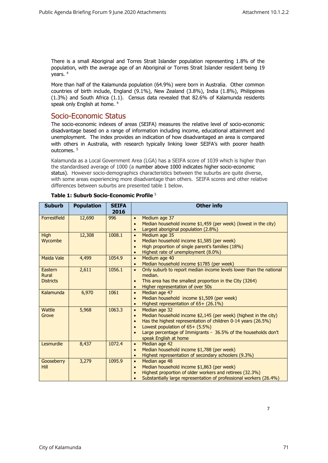There is a small Aboriginal and Torres Strait Islander population representing 1.8% of the population, with the average age of an Aboriginal or Torres Strait Islander resident being 19 years. <sup>4</sup>

<span id="page-7-0"></span>More than half of the Kalamunda population (64.9%) were born in Australia. Other common countries of birth include, England (9.1%), New Zealand (3.8%), India (1.8%), Philippines (1.3%) and South Africa (1.1). Census data revealed that 82.6% of Kalamunda residents speak only English at home. <sup>4</sup>

#### Socio-Economic Status

The socio-economic indexes of areas (SEIFA) measures the relative level of socio-economic disadvantage based on a range of information including income, educational attainment and unemployment. The index provides an indication of how disadvantaged an area is compared with others in Australia, with research typically linking lower SEIFA's with poorer health  $O(1)$ tcomes  $5$ 

Kalamunda as a Local Government Area (LGA) has a SEIFA score of 1039 which is higher than the standardised average of 1000 (a number above 1000 indicates higher socio-economic status). However socio-demographics characteristics between the suburbs are quite diverse, with some areas experiencing more disadvantage than others. SEIFA scores and other relative differences between suburbs are presented table 1 below.

| <b>Suburb</b>                        | <b>Population</b> | <b>SEIFA</b><br>2016 | <b>Other info</b>                                                                                                                                                                                                                                                                                          |
|--------------------------------------|-------------------|----------------------|------------------------------------------------------------------------------------------------------------------------------------------------------------------------------------------------------------------------------------------------------------------------------------------------------------|
| Forrestfield                         | 12,690            | 996                  | Medium age 37<br>$\bullet$<br>Median household income \$1,459 (per week) (lowest in the city)<br>Largest aboriginal population (2.8%)<br>$\bullet$                                                                                                                                                         |
| <b>High</b><br>Wycombe               | 12,308            | 1008.1               | Medium age 35<br>$\bullet$<br>Median household income \$1,585 (per week)<br>$\bullet$<br>High proportion of single parent's families (18%)<br>Highest rate of unemployment (8.0%)                                                                                                                          |
| <b>Maida Vale</b>                    | 4,499             | 1054.9               | Medium age 40<br>$\bullet$<br>Median household income \$1785 (per week)                                                                                                                                                                                                                                    |
| Eastern<br>Rural<br><b>Districts</b> | 2,611             | 1056.1               | Only suburb to report median income levels lower than the national<br>$\bullet$<br>median.<br>This area has the smallest proportion in the City (3264)<br>Higher representation of over 50s<br>$\bullet$                                                                                                   |
| Kalamunda                            | 6,970             | 1061                 | Median age 47<br>$\bullet$<br>Median household income \$1,509 (per week)<br>$\bullet$<br>Highest representation of 65+ (26.1%)<br>$\bullet$                                                                                                                                                                |
| Wattle<br>Grove                      | 5,968             | 1063.3               | Median age 32<br>$\bullet$<br>Median household income \$2,145 (per week) (highest in the city)<br>$\bullet$<br>Has the highest representation of children 0-14 years (26.5%)<br>Lowest population of 65+ (5.5%)<br>Large percentage of Immigrants - 36.5% of the households don't<br>speak English at home |
| Lesmurdie                            | 8,437             | 1072.4               | Median age 42<br>$\bullet$<br>Median household income \$1,788 (per week)<br>$\bullet$<br>Highest representation of secondary schoolers (9.3%)<br>$\bullet$                                                                                                                                                 |
| Gooseberry<br>Hill                   | 3,279             | 1095.9               | Median age 48<br>$\bullet$<br>Median household income \$1,863 (per week)<br>$\bullet$<br>Highest proportion of older workers and retirees (32.3%)<br>Substantially large representation of professional workers (26.4%)                                                                                    |

#### **Table 1: Suburb Socio-Economic Profile** <sup>5</sup>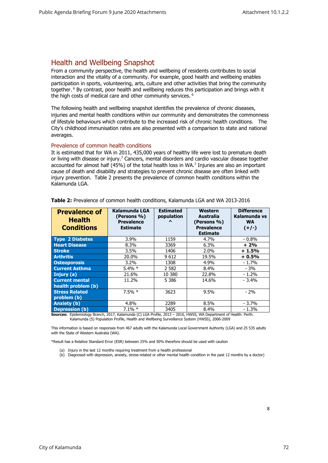### <span id="page-8-0"></span>Health and Wellbeing Snapshot

From a community perspective, the health and wellbeing of residents contributes to social interaction and the vitality of a community. For example, good health and wellbeing enables participation in sports, volunteering, arts, culture and other activities that bring the community together. <sup>6</sup> By contrast, poor health and wellbeing reduces this participation and brings with it the high costs of medical care and other community services.  $6$ 

The following health and wellbeing snapshot identifies the prevalence of chronic diseases, injuries and mental health conditions within our community and demonstrates the commonness of lifestyle behaviours which contribute to the increased risk of chronic health conditions. The City's childhood immunisation rates are also presented with a comparison to state and national averages.

#### <span id="page-8-1"></span>Prevalence of common health conditions

It is estimated that for WA in 2011, 435,000 years of healthy life were lost to premature death or living with disease or injury.<sup>7</sup> Cancers, mental disorders and cardio vascular disease together accounted for almost half (45%) of the total health loss in WA.<sup>7</sup> Injuries are also an important cause of death and disability and strategies to prevent chronic disease are often linked with injury prevention. Table 2 presents the prevalence of common health conditions within the Kalamunda LGA.

| <b>Prevalence of</b><br><b>Health</b><br><b>Conditions</b> | Kalamunda LGA<br>(Persons %)<br><b>Prevalence</b><br><b>Estimate</b> | <b>Estimated</b><br>population<br>$\lambda$ | Western<br>Australia<br>(Persons %)<br><b>Prevalence</b><br><b>Estimate</b> | <b>Difference</b><br>Kalamunda vs<br><b>WA</b><br>$(+/-)$ |
|------------------------------------------------------------|----------------------------------------------------------------------|---------------------------------------------|-----------------------------------------------------------------------------|-----------------------------------------------------------|
| <b>Type 2 Diabetes</b>                                     | $3.9\%$                                                              | 1159                                        | 4.7%                                                                        | $-0.8\%$                                                  |
| <b>Heart Disease</b>                                       | 8.3%                                                                 | 3369                                        | 6.3%                                                                        | $+2%$                                                     |
| <b>Stroke</b>                                              | $3.5\%$                                                              | 1406                                        | $2.0\%$                                                                     | $+1.5%$                                                   |
| <b>Arthritis</b>                                           | 20.0%                                                                | 9612                                        | 19.5%                                                                       | $+0.5%$                                                   |
| <b>Osteoporosis</b>                                        | $3.2\%$                                                              | 1308                                        | 4.9%                                                                        | $-1.7\%$                                                  |
| <b>Current Asthma</b>                                      | $5.4\% *$                                                            | 2 5 8 2                                     | 8.4%                                                                        | $-3%$                                                     |
| Injury (a)                                                 | 21.6%                                                                | 10 380                                      | 22.8%                                                                       | $-1.2%$                                                   |
| <b>Current mental</b><br>health problem (b)                | 11.2%                                                                | 5 3 8 6                                     | 14.6%                                                                       | $-3.4%$                                                   |
| <b>Stress Related</b><br>problem (b)                       | $7.5%$ *                                                             | 3623                                        | 9.5%                                                                        | $-2%$                                                     |
| <b>Anxiety</b> (b)                                         | 4.8%                                                                 | 2289                                        | 8.5%                                                                        | $-3.7%$                                                   |
| <b>Depression (b)</b>                                      | $7.1\% *$                                                            | 3405                                        | 8.4%                                                                        | $-1.3%$                                                   |

**Table 2:** Prevalence of common health conditions, Kalamunda LGA and WA 2013-2016

**Sources:** Epidemiology Branch, 2017, Kalamunda (C) LGA Profile, 2013 – 2016, HWSS, WA Department of Health: Perth. Kalamunda (S) Population Profile, Health and Wellbeing Surveillance System (HWSS), 2006-2009

This information is based on responses from 467 adults with the Kalamunda Local Government Authority (LGA) and 25 535 adults with the State of Western Australia (WA).

\*Result has a Relative Standard Error (ESR) between 25% and 50% therefore should be used with caution

- (a) Injury in the last 12 months requiring treatment from a health professional
- (b) Diagnosed with depression, anxiety, stress-related or other mental health condition in the past 12 months by a doctor)

8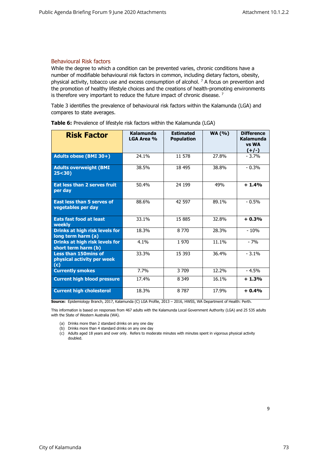#### <span id="page-9-0"></span>Behavioural Risk factors

While the degree to which a condition can be prevented varies, chronic conditions have a number of modifiable behavioural risk factors in common, including dietary factors, obesity, physical activity, tobacco use and excess consumption of alcohol.  $7$  A focus on prevention and the promotion of healthy lifestyle choices and the creations of health-promoting environments is therefore very important to reduce the future impact of chronic disease.<sup>7</sup>

Table 3 identifies the prevalence of behavioural risk factors within the Kalamunda (LGA) and compares to state averages.

| <b>Risk Factor</b>                                               | Kalamunda<br>LGA Area % | <b>Estimated</b><br><b>Population</b> | <b>WA (%)</b> | <b>Difference</b><br>Kalamunda<br>vs WA<br>$(+/-)$ |
|------------------------------------------------------------------|-------------------------|---------------------------------------|---------------|----------------------------------------------------|
| Adults obese (BMI 30+)                                           | 24.1%                   | 11 578                                | 27.8%         | $-3.7%$                                            |
| <b>Adults overweight (BMI</b><br>25 < 30                         | 38.5%                   | 18 4 95                               | 38.8%         | $-0.3%$                                            |
| Eat less than 2 serves fruit<br>per day                          | 50.4%                   | 24 199                                | 49%           | $+1.4%$                                            |
| <b>East less than 5 serves of</b><br>vegetables per day          | 88.6%                   | 42 597                                | 89.1%         | $-0.5%$                                            |
| <b>Eats fast food at least</b><br>weekly                         | 33.1%                   | 15 885                                | 32.8%         | $+0.3%$                                            |
| Drinks at high risk levels for<br>long term harm (a)             | 18.3%                   | 8 7 7 0                               | 28.3%         | $-10%$                                             |
| <b>Drinks at high risk levels for</b><br>short term harm (b)     | 4.1%                    | 1970                                  | 11.1%         | $-7%$                                              |
| <b>Less than 150mins of</b><br>physical activity per week<br>(c) | 33.3%                   | 15 3 93                               | 36.4%         | $-3.1%$                                            |
| <b>Currently smokes</b>                                          | 7.7%                    | 3 709                                 | 12.2%         | $-4.5%$                                            |
| <b>Current high blood pressure</b>                               | 17.4%                   | 8 3 4 9                               | 16.1%         | $+1.3%$                                            |
| <b>Current high cholesterol</b>                                  | 18.3%                   | 8 7 8 7                               | 17.9%         | $+0.4%$                                            |

**Table 6:** Prevalence of lifestyle risk factors within the Kalamunda (LGA)

**Source:** Epidemiology Branch, 2017, Kalamunda (C) LGA Profile, 2013 – 2016, HWSS, WA Department of Health: Perth.

This information is based on responses from 467 adults with the Kalamunda Local Government Authority (LGA) and 25 535 adults with the State of Western Australia (WA).

- (a) Drinks more than 2 standard drinks on any one day
- (b) Drinks more than 4 standard drinks on any one day
- (c) Adults aged 18 years and over only. Refers to moderate minutes with minutes spent in vigorous physical activity doubled.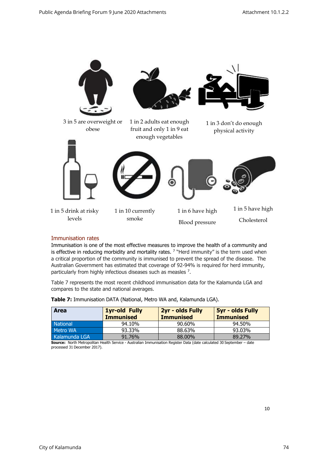

#### <span id="page-10-0"></span>Immunisation rates

Immunisation is one of the most effective measures to improve the health of a community and is effective in reducing morbidity and mortality rates. <sup>7</sup> "Herd immunity" is the term used when a critical proportion of the community is immunised to prevent the spread of the disease. The Australian Government has estimated that coverage of 92-94% is required for herd immunity, particularly from highly infectious diseases such as measles <sup>7</sup>.

Table 7 represents the most recent childhood immunisation data for the Kalamunda LGA and compares to the state and national averages.

| <b>Area</b>     | <b>1yr-old Fully</b><br><b>Immunised</b> | 2yr - olds Fully<br><b>Immunised</b> | <b>5yr - olds Fully</b><br><b>Immunised</b> |
|-----------------|------------------------------------------|--------------------------------------|---------------------------------------------|
| <b>National</b> | 94.10%                                   | 90.60%                               | 94.50%                                      |
| Metro WA        | 93.33%                                   | 88.63%                               | 93.03%                                      |
| Kalamunda LGA   | 91.76%                                   | 88,00%                               | 89.27%                                      |

**Table 7:** Immunisation DATA (National, Metro WA and, Kalamunda LGA).

**Source:** North Metropolitan Health Service - Australian Immunisation Register Data (date calculated 30 September – date processed 31 December 2017).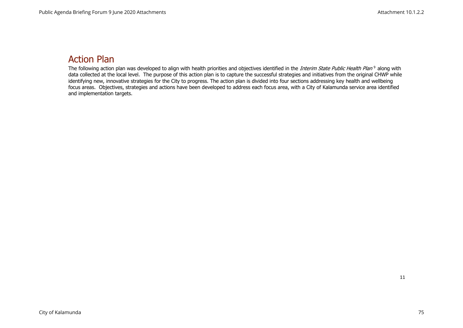### Action Plan

<span id="page-11-0"></span>The following action plan was developed to align with health priorities and objectives identified in the *Interim State Public Health Plan* <sup>9</sup> along with data collected at the local level. The purpose of this action plan is to capture the successful strategies and initiatives from the original CHWP while identifying new, innovative strategies for the City to progress. The action plan is divided into four sections addressing key health and wellbeing focus areas. Objectives, strategies and actions have been developed to address each focus area, with a City of Kalamunda service area identified and implementation targets.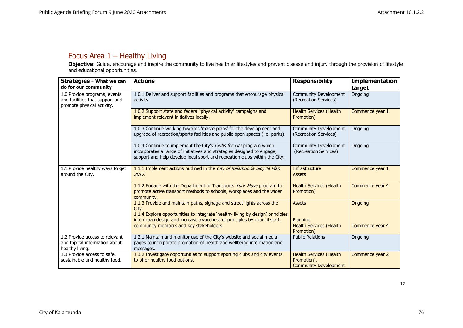### Focus Area 1 – Healthy Living

**Objective:** Guide, encourage and inspire the community to live healthier lifestyles and prevent disease and injury through the provision of lifestyle and educational opportunities.

<span id="page-12-0"></span>

| <b>Strategies - What we can</b><br>do for our community                                       | <b>Actions</b>                                                                                                                                                                                                              | <b>Responsibility</b>                                                         | <b>Implementation</b><br>target |
|-----------------------------------------------------------------------------------------------|-----------------------------------------------------------------------------------------------------------------------------------------------------------------------------------------------------------------------------|-------------------------------------------------------------------------------|---------------------------------|
| 1.0 Provide programs, events<br>and facilities that support and<br>promote physical activity. | 1.0.1 Deliver and support facilities and programs that encourage physical<br>activity.                                                                                                                                      | Community Development<br>(Recreation Services)                                | Ongoing                         |
|                                                                                               | 1.0.2 Support state and federal 'physical activity' campaigns and<br>implement relevant initiatives locally.                                                                                                                | <b>Health Services (Health</b><br>Promotion)                                  | Commence year 1                 |
|                                                                                               | 1.0.3 Continue working towards 'masterplans' for the development and<br>upgrade of recreation/sports facilities and public open spaces (i.e. parks).                                                                        | Community Development<br>(Recreation Services)                                | Ongoing                         |
|                                                                                               | 1.0.4 Continue to implement the City's Clubs for Life program which<br>incorporates a range of initiatives and strategies designed to engage,<br>support and help develop local sport and recreation clubs within the City. | Community Development<br>(Recreation Services)                                | Ongoing                         |
| 1.1 Provide healthy ways to get<br>around the City.                                           | 1.1.1 Implement actions outlined in the City of Kalamunda Bicycle Plan<br>2017.                                                                                                                                             | Infrastructure<br><b>Assets</b>                                               | Commence year 1                 |
|                                                                                               | 1.1.2 Engage with the Department of Transports Your Move program to<br>promote active transport methods to schools, workplaces and the wider<br>community.                                                                  | <b>Health Services (Health</b><br>Promotion)                                  | Commence year 4                 |
|                                                                                               | 1.1.3 Provide and maintain paths, signage and street lights across the<br>City.<br>1.1.4 Explore opportunities to integrate 'healthy living by design' principles                                                           | <b>Assets</b>                                                                 | Ongoing                         |
|                                                                                               | into urban design and increase awareness of principles by council staff,<br>community members and key stakeholders.                                                                                                         | Planning<br><b>Health Services (Health</b><br>Promotion)                      | Commence year 4                 |
| 1.2 Provide access to relevant<br>and topical information about<br>healthy living.            | 1.2.1 Maintain and monitor use of the City's website and social media<br>pages to incorporate promotion of health and wellbeing information and<br>messages.                                                                | <b>Public Relations</b>                                                       | Ongoing                         |
| 1.3 Provide access to safe,<br>sustainable and healthy food.                                  | 1.3.2 Investigate opportunities to support sporting clubs and city events<br>to offer healthy food options.                                                                                                                 | <b>Health Services (Health</b><br>Promotion).<br><b>Community Development</b> | Commence year 2                 |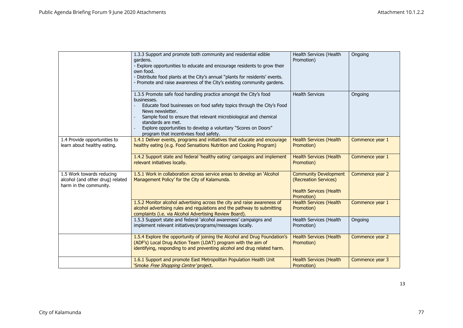|                                                                                         | 1.3.3 Support and promote both community and residential edible<br>gardens.<br>- Explore opportunities to educate and encourage residents to grow their<br>own food.<br>- Distribute food plants at the City's annual "plants for residents' events.<br>- Promote and raise awareness of the City's existing community gardens.                                                     | Health Services (Health<br>Promotion)                                                                 | Ongoing         |
|-----------------------------------------------------------------------------------------|-------------------------------------------------------------------------------------------------------------------------------------------------------------------------------------------------------------------------------------------------------------------------------------------------------------------------------------------------------------------------------------|-------------------------------------------------------------------------------------------------------|-----------------|
|                                                                                         | 1.3.5 Promote safe food handling practice amongst the City's food<br>businesses.<br>Educate food businesses on food safety topics through the City's Food<br>News newsletter.<br>Sample food to ensure that relevant microbiological and chemical<br>standards are met.<br>Explore opportunities to develop a voluntary "Scores on Doors"<br>program that incentivises food safety. | <b>Health Services</b>                                                                                | Ongoing         |
| 1.4 Provide opportunities to<br>learn about healthy eating.                             | 1.4.1 Deliver events, programs and initiatives that educate and encourage<br>healthy eating (e.g. Food Sensations Nutrition and Cooking Program)                                                                                                                                                                                                                                    | <b>Health Services (Health</b><br>Promotion)                                                          | Commence year 1 |
|                                                                                         | 1.4.2 Support state and federal 'healthy eating' campaigns and implement<br>relevant initiatives locally.                                                                                                                                                                                                                                                                           | <b>Health Services (Health</b><br>Promotion)                                                          | Commence year 1 |
| 1.5 Work towards reducing<br>alcohol (and other drug) related<br>harm in the community. | 1.5.1 Work in collaboration across service areas to develop an 'Alcohol<br>Management Policy' for the City of Kalamunda.                                                                                                                                                                                                                                                            | <b>Community Development</b><br>(Recreation Services)<br><b>Health Services (Health</b><br>Promotion) | Commence year 2 |
|                                                                                         | 1.5.2 Monitor alcohol advertising across the city and raise awareness of<br>alcohol advertising rules and regulations and the pathway to submitting<br>complaints (i.e. via Alcohol Advertising Review Board).                                                                                                                                                                      | <b>Health Services (Health</b><br>Promotion)                                                          | Commence year 1 |
|                                                                                         | 1.5.3 Support state and federal 'alcohol awareness' campaigns and<br>implement relevant initiatives/programs/messages locally.                                                                                                                                                                                                                                                      | Health Services (Health<br>Promotion)                                                                 | Ongoing         |
|                                                                                         | 1.5.4 Explore the opportunity of joining the Alcohol and Drug Foundation's<br>(ADF's) Local Drug Action Team (LDAT) program with the aim of<br>identifying, responding to and preventing alcohol and drug related harm.                                                                                                                                                             | <b>Health Services (Health</b><br>Promotion)                                                          | Commence year 2 |
|                                                                                         | 1.6.1 Support and promote East Metropolitan Population Health Unit<br>'Smoke <i>Free Shopping Centre'</i> project,                                                                                                                                                                                                                                                                  | <b>Health Services (Health</b><br>Promotion)                                                          | Commence year 3 |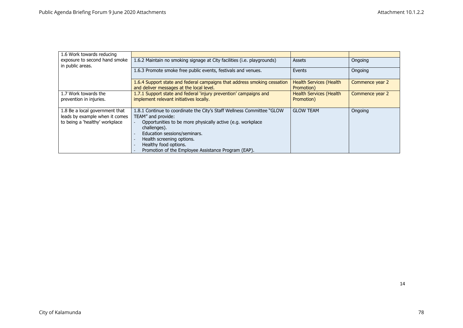| 1.6 Work towards reducing                         |                                                                                                                      |                                              |                 |
|---------------------------------------------------|----------------------------------------------------------------------------------------------------------------------|----------------------------------------------|-----------------|
| exposure to second hand smoke<br>in public areas. | 1.6.2 Maintain no smoking signage at City facilities (i.e. playgrounds)                                              | <b>Assets</b>                                | Ongoing         |
|                                                   | 1.6.3 Promote smoke free public events, festivals and venues.                                                        | Events                                       | Ongoing         |
|                                                   | 1.6.4 Support state and federal campaigns that address smoking cessation<br>and deliver messages at the local level. | <b>Health Services (Health</b><br>Promotion) | Commence year 2 |
| 1.7 Work towards the                              | 1.7.1 Support state and federal 'injury prevention' campaigns and                                                    | <b>Health Services (Health</b>               | Commence year 2 |
| prevention in injuries.                           | implement relevant initiatives locally.                                                                              | Promotion)                                   |                 |
| 1.8 Be a local government that                    | 1.8.1 Continue to coordinate the City's Staff Wellness Committee "GLOW"                                              | <b>GLOW TEAM</b>                             | Ongoing         |
| leads by example when it comes                    | TEAM" and provide:                                                                                                   |                                              |                 |
| to being a 'healthy' workplace                    | Opportunities to be more physically active (e.g. workplace<br>challenges).                                           |                                              |                 |
|                                                   | Education sessions/seminars.                                                                                         |                                              |                 |
|                                                   | Health screening options.                                                                                            |                                              |                 |
|                                                   | Healthy food options.                                                                                                |                                              |                 |
|                                                   | Promotion of the Employee Assistance Program (EAP).                                                                  |                                              |                 |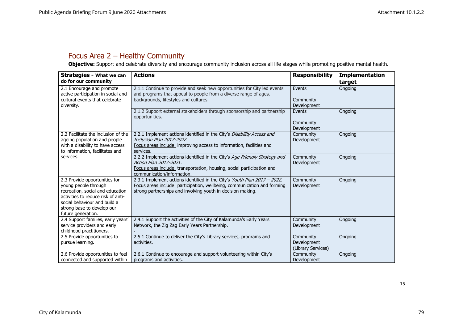### Focus Area 2 – Healthy Community

**Objective:** Support and celebrate diversity and encourage community inclusion across all life stages while promoting positive mental health.

<span id="page-15-0"></span>

| <b>Strategies - What we can</b><br>do for our community                                                                                                                                                             | <b>Actions</b>                                                                                                                                                                                                      | <b>Responsibility</b>                          | <b>Implementation</b><br>target |
|---------------------------------------------------------------------------------------------------------------------------------------------------------------------------------------------------------------------|---------------------------------------------------------------------------------------------------------------------------------------------------------------------------------------------------------------------|------------------------------------------------|---------------------------------|
| 2.1 Encourage and promote<br>active participation in social and<br>cultural events that celebrate<br>diversity.                                                                                                     | 2.1.1 Continue to provide and seek new opportunities for City led events<br>and programs that appeal to people from a diverse range of ages,<br>backgrounds, lifestyles and cultures.                               | Events<br>Community<br>Development             | Ongoing                         |
|                                                                                                                                                                                                                     | 2.1.2 Support external stakeholders through sponsorship and partnership<br>opportunities.                                                                                                                           | Events<br>Community<br>Development             | Ongoing                         |
| 2.2 Facilitate the inclusion of the<br>ageing population and people<br>with a disability to have access<br>to information, facilitates and                                                                          | 2.2.1 Implement actions identified in the City's Disability Access and<br>Inclusion Plan 2017-2022.<br>Focus areas include: improving access to information, facilities and<br>services.                            | Community<br>Development                       | Ongoing                         |
| services.                                                                                                                                                                                                           | 2.2.2 Implement actions identified in the City's Age Friendly Strategy and<br>Action Plan 2017-2021.<br>Focus areas include: transportation, housing, social participation and<br>communication/information.        | Community<br>Development                       | Ongoing                         |
| 2.3 Provide opportunities for<br>young people through<br>recreation, social and education<br>activities to reduce risk of anti-<br>social behaviour and build a<br>strong base to develop our<br>future generation. | 2.3.1 Implement actions identified in the City's Youth Plan 2017 - 2022.<br>Focus areas include: participation, wellbeing, communication and forming<br>strong partnerships and involving youth in decision making. | Community<br>Development                       | Ongoing                         |
| 2.4 Support families, early years'<br>service providers and early<br>childhood practitioners.                                                                                                                       | 2.4.1 Support the activities of the City of Kalamunda's Early Years<br>Network, the Zig Zag Early Years Partnership.                                                                                                | Community<br>Development                       | Ongoing                         |
| 2.5 Provide opportunities to<br>pursue learning.                                                                                                                                                                    | 2.5.1 Continue to deliver the City's Library services, programs and<br>activities.                                                                                                                                  | Community<br>Development<br>(Library Services) | Ongoing                         |
| 2.6 Provide opportunities to feel<br>connected and supported within                                                                                                                                                 | 2.6.1 Continue to encourage and support volunteering within City's<br>programs and activities.                                                                                                                      | Community<br>Development                       | Ongoing                         |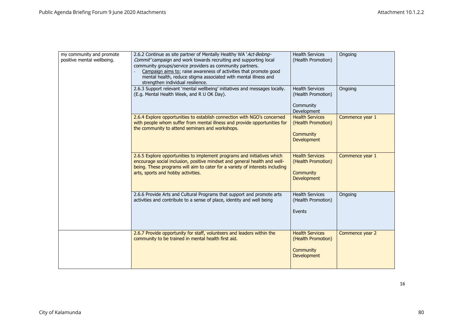| my community and promote<br>positive mental wellbeing. | 2.6.2 Continue as site partner of Mentally Healthy WA 'Act-Belong-<br>Commit' campaign and work towards recruiting and supporting local<br>community groups/service providers as community partners.<br>Campaign aims to: raise awareness of activities that promote good<br>mental health, reduce stigma associated with mental illness and<br>strengthen individual resilience. | <b>Health Services</b><br>(Health Promotion)                                    | Ongoing         |
|--------------------------------------------------------|-----------------------------------------------------------------------------------------------------------------------------------------------------------------------------------------------------------------------------------------------------------------------------------------------------------------------------------------------------------------------------------|---------------------------------------------------------------------------------|-----------------|
|                                                        | 2.6.3 Support relevant 'mental wellbeing' initiatives and messages locally.<br>(E.g. Mental Health Week, and R U OK Day).                                                                                                                                                                                                                                                         | <b>Health Services</b><br>(Health Promotion)<br>Community<br>Development        | Ongoing         |
|                                                        | 2.6.4 Explore opportunities to establish connection with NGO's concerned<br>with people whom suffer from mental illness and provide opportunities for<br>the community to attend seminars and workshops.                                                                                                                                                                          | <b>Health Services</b><br>(Health Promotion)<br>Community<br><b>Development</b> | Commence year 1 |
|                                                        | 2.6.5 Explore opportunities to implement programs and initiatives which<br>encourage social inclusion, positive mindset and general health and well-<br>being. These programs will aim to cater for a variety of interests including<br>arts, sports and hobby activities.                                                                                                        | <b>Health Services</b><br>(Health Promotion)<br>Community<br><b>Development</b> | Commence year 1 |
|                                                        | 2.6.6 Provide Arts and Cultural Programs that support and promote arts<br>activities and contribute to a sense of place, identity and well being                                                                                                                                                                                                                                  | <b>Health Services</b><br>(Health Promotion)<br>Events                          | Ongoing         |
|                                                        | 2.6.7 Provide opportunity for staff, volunteers and leaders within the<br>community to be trained in mental health first aid.                                                                                                                                                                                                                                                     | <b>Health Services</b><br>(Health Promotion)<br>Community<br><b>Development</b> | Commence year 2 |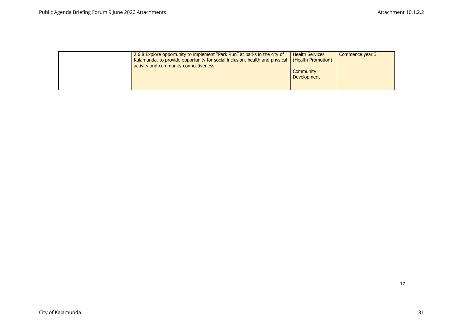| 2.6.8 Explore opportunity to implement "Park Run" at parks in the city of<br>Kalamunda, to provide opportunity for social inclusion, health and physical<br>activity and community connectiveness. | <b>Health Services</b><br>(Health Promotion) | Commence year 3 |
|----------------------------------------------------------------------------------------------------------------------------------------------------------------------------------------------------|----------------------------------------------|-----------------|
|                                                                                                                                                                                                    | Community<br><b>Development</b>              |                 |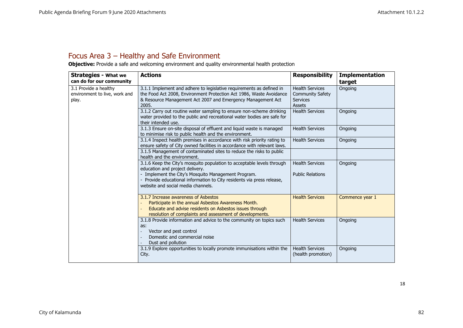### Focus Area 3 – Healthy and Safe Environment

**Objective:** Provide a safe and welcoming environment and quality environmental health protection

<span id="page-18-0"></span>

| <b>Strategies - What we</b>                                     | <b>Actions</b>                                                                                                                                                                                                                                                                   | <b>Responsibility</b>                                                   | <b>Implementation</b> |
|-----------------------------------------------------------------|----------------------------------------------------------------------------------------------------------------------------------------------------------------------------------------------------------------------------------------------------------------------------------|-------------------------------------------------------------------------|-----------------------|
| can do for our community                                        |                                                                                                                                                                                                                                                                                  |                                                                         | target                |
| 3.1 Provide a healthy<br>environment to live, work and<br>play. | 3.1.1 Implement and adhere to legislative requirements as defined in<br>the Food Act 2008, Environment Protection Act 1986, Waste Avoidance<br>& Resource Management Act 2007 and Emergency Management Act<br>2005.                                                              | <b>Health Services</b><br><b>Community Safety</b><br>Services<br>Assets | Ongoing               |
|                                                                 | 3.1.2 Carry out routine water sampling to ensure non-scheme drinking<br>water provided to the public and recreational water bodies are safe for<br>their intended use.                                                                                                           | <b>Health Services</b>                                                  | Ongoing               |
|                                                                 | 3.1.3 Ensure on-site disposal of effluent and liquid waste is managed<br>to minimise risk to public health and the environment.                                                                                                                                                  | <b>Health Services</b>                                                  | Ongoing               |
|                                                                 | 3.1.4 Inspect health premises in accordance with risk priority rating to<br>ensure safety of City owned facilities in accordance with relevant laws.                                                                                                                             | <b>Health Services</b>                                                  | Ongoing               |
|                                                                 | 3.1.5 Management of contaminated sites to reduce the risks to public<br>health and the environment.                                                                                                                                                                              |                                                                         |                       |
|                                                                 | 3.1.6 Keep the City's mosquito population to acceptable levels through<br>education and project delivery.<br>- Implement the City's Mosquito Management Program.<br>- Provide educational information to City residents via press release,<br>website and social media channels. | <b>Health Services</b><br><b>Public Relations</b>                       | Ongoing               |
|                                                                 | 3.1.7 Increase awareness of Asbestos<br>Participate in the annual Asbestos Awareness Month.<br>Educate and advise residents on Asbestos issues through<br>resolution of complaints and assessment of developments.                                                               | <b>Health Services</b>                                                  | Commence year 1       |
|                                                                 | 3.1.8 Provide information and advice to the community on topics such<br>as:<br>Vector and pest control<br>Domestic and commercial noise<br>Dust and pollution                                                                                                                    | <b>Health Services</b>                                                  | Ongoing               |
|                                                                 | 3.1.9 Explore opportunities to locally promote immunisations within the<br>City.                                                                                                                                                                                                 | <b>Health Services</b><br>(health promotion)                            | Ongoing               |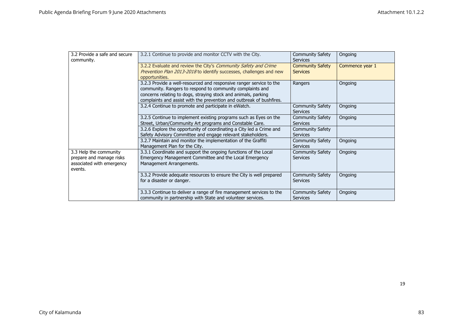| 3.2 Provide a safe and secure<br>community.                                                | 3.2.1 Continue to provide and monitor CCTV with the City.                                                                                                                                                                                                                  | <b>Community Safety</b><br><b>Services</b> | Ongoing         |
|--------------------------------------------------------------------------------------------|----------------------------------------------------------------------------------------------------------------------------------------------------------------------------------------------------------------------------------------------------------------------------|--------------------------------------------|-----------------|
|                                                                                            | 3.2.2 Evaluate and review the City's Community Safety and Crime<br>Prevention Plan 2013-2018 to identify successes, challenges and new<br>opportunities.                                                                                                                   | <b>Community Safety</b><br><b>Services</b> | Commence year 1 |
|                                                                                            | 3.2.3 Provide a well-resourced and responsive ranger service to the<br>community. Rangers to respond to community complaints and<br>concerns relating to dogs, straying stock and animals, parking<br>complaints and assist with the prevention and outbreak of bushfires. | Rangers                                    | Ongoing         |
|                                                                                            | 3.2.4 Continue to promote and participate in eWatch.                                                                                                                                                                                                                       | <b>Community Safety</b><br><b>Services</b> | Ongoing         |
|                                                                                            | 3.2.5 Continue to implement existing programs such as Eyes on the<br>Street, Urban/Community Art programs and Constable Care.                                                                                                                                              | <b>Community Safety</b><br><b>Services</b> | Ongoing         |
|                                                                                            | 3.2.6 Explore the opportunity of coordinating a City led a Crime and<br>Safety Advisory Committee and engage relevant stakeholders.                                                                                                                                        | <b>Community Safety</b><br><b>Services</b> |                 |
|                                                                                            | 3.2.7 Maintain and monitor the implementation of the Graffiti<br>Management Plan for the City.                                                                                                                                                                             | <b>Community Safety</b><br><b>Services</b> | Ongoing         |
| 3.3 Help the community<br>prepare and manage risks<br>associated with emergency<br>events. | 3.3.1 Coordinate and support the ongoing functions of the Local<br>Emergency Management Committee and the Local Emergency<br>Management Arrangements.                                                                                                                      | <b>Community Safety</b><br><b>Services</b> | Ongoing         |
|                                                                                            | 3.3.2 Provide adequate resources to ensure the City is well prepared<br>for a disaster or danger.                                                                                                                                                                          | <b>Community Safety</b><br><b>Services</b> | Ongoing         |
|                                                                                            | 3.3.3 Continue to deliver a range of fire management services to the<br>community in partnership with State and volunteer services.                                                                                                                                        | <b>Community Safety</b><br><b>Services</b> | Ongoing         |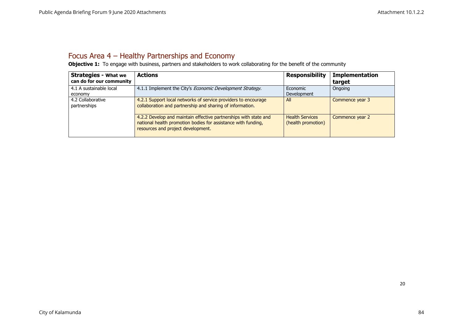### Focus Area 4 – Healthy Partnerships and Economy

**Objective 1:** To engage with business, partners and stakeholders to work collaborating for the benefit of the community

<span id="page-20-0"></span>

| <b>Strategies - What we</b><br>can do for our community | <b>Actions</b>                                                                                                                                                          | <b>Responsibility</b>                        | <b>Implementation</b><br>target |
|---------------------------------------------------------|-------------------------------------------------------------------------------------------------------------------------------------------------------------------------|----------------------------------------------|---------------------------------|
| 4.1 A sustainable local<br>economy                      | 4.1.1 Implement the City's <i>Economic Development Strategy</i> .                                                                                                       | Economic<br>Development                      | Ongoing                         |
| 4.2 Collaborative<br>partnerships                       | 4.2.1 Support local networks of service providers to encourage<br>collaboration and partnership and sharing of information.                                             | All                                          | Commence year 3                 |
|                                                         | 4.2.2 Develop and maintain effective partnerships with state and<br>national health promotion bodies for assistance with funding,<br>resources and project development. | <b>Health Services</b><br>(health promotion) | Commence year 2                 |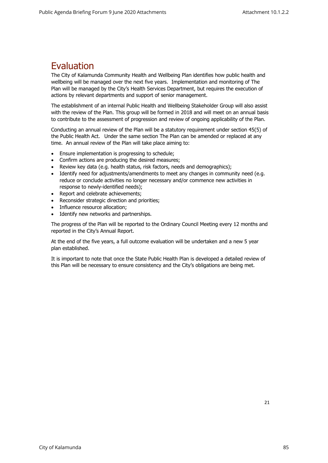### <span id="page-21-0"></span>Evaluation

The City of Kalamunda Community Health and Wellbeing Plan identifies how public health and wellbeing will be managed over the next five years. Implementation and monitoring of The Plan will be managed by the City's Health Services Department, but requires the execution of actions by relevant departments and support of senior management.

The establishment of an internal Public Health and Wellbeing Stakeholder Group will also assist with the review of the Plan. This group will be formed in 2018 and will meet on an annual basis to contribute to the assessment of progression and review of ongoing applicability of the Plan.

Conducting an annual review of the Plan will be a statutory requirement under section 45(5) of the Public Health Act. Under the same section The Plan can be amended or replaced at any time. An annual review of the Plan will take place aiming to:

- Ensure implementation is progressing to schedule;
- Confirm actions are producing the desired measures;
- Review key data (e.g. health status, risk factors, needs and demographics);
- Identify need for adjustments/amendments to meet any changes in community need (e.g. reduce or conclude activities no longer necessary and/or commence new activities in response to newly-identified needs);
- Report and celebrate achievements;
- Reconsider strategic direction and priorities;
- Influence resource allocation;
- Identify new networks and partnerships.

The progress of the Plan will be reported to the Ordinary Council Meeting every 12 months and reported in the City's Annual Report.

At the end of the five years, a full outcome evaluation will be undertaken and a new 5 year plan established.

It is important to note that once the State Public Health Plan is developed a detailed review of this Plan will be necessary to ensure consistency and the City's obligations are being met.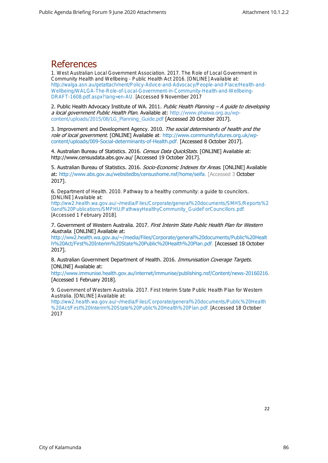### <span id="page-22-0"></span>**References**

1. West Australian Local Government Association. 2017. *The Role of Local Government in Community Health and Wellbeing - Public Health Act 2016*. [ONLINE] Available at: [http://walga.asn.au/getattachment/Policy-Advice-and-Advocacy/People-and-Place/Health-and-](http://walga.asn.au/getattachment/Policy-Advice-and-Advocacy/People-and-Place/Health-and-Wellbeing/WALGA-The-Role-of-Local-Government-in-Community-Health-and-Wellbeing-DRAFT-1608.pdf.aspx?lang=en-AU)[Wellbeing/WALGA-The-Role-of-Local-Government-in-Community-Health-and-Wellbeing-](http://walga.asn.au/getattachment/Policy-Advice-and-Advocacy/People-and-Place/Health-and-Wellbeing/WALGA-The-Role-of-Local-Government-in-Community-Health-and-Wellbeing-DRAFT-1608.pdf.aspx?lang=en-AU)[DRAFT-1608.pdf.aspx?lang=en-AU.](http://walga.asn.au/getattachment/Policy-Advice-and-Advocacy/People-and-Place/Health-and-Wellbeing/WALGA-The-Role-of-Local-Government-in-Community-Health-and-Wellbeing-DRAFT-1608.pdf.aspx?lang=en-AU) [Accessed 9 November 2017

2. Public Health Advocacy Institute of WA. 2011. Public Health Planning - A quide to developing a local government Public Health Plan. Available at: [http://www.phaiwa.org.au/wp](http://www.phaiwa.org.au/wp-content/uploads/2015/08/LG_Planning_Guide.pdf)[content/uploads/2015/08/LG\\_Planning\\_Guide.pdf](http://www.phaiwa.org.au/wp-content/uploads/2015/08/LG_Planning_Guide.pdf) [Accessed 20 October 2017].

3. Improvement and Development Agency. 2010. The social determinants of health and the role of local government. [ONLINE] Available at: [http://www.communityfutures.org.uk/wp](http://www.communityfutures.org.uk/wp-content/uploads/009-Social-determinants-of-Health.pdf)[content/uploads/009-Social-determinants-of-Health.pdf.](http://www.communityfutures.org.uk/wp-content/uploads/009-Social-determinants-of-Health.pdf) [Accessed 8 October 2017].

4. Australian Bureau of Statistics. 2016. Census Data QuickStats. [ONLINE] Available at: [http://www.censusdata.abs.gov.au/](http://www.censusdata.abs.gov.au/census_services/getproduct/census/2016/quickstat/50605?opendocument) [Accessed 19 October 2017].

5. Australian Bureau of Statistics. 2016. Socio-Economic Indexes for Areas. [ONLINE] Available at: [http://www.abs.gov.au/websitedbs/censushome.nsf/home/seifa.](http://www.abs.gov.au/websitedbs/censushome.nsf/home/seifa) [Accessed 3 October 2017].

6. Department of Health. 2010. *Pathway to a healthy community: a guide to councilors*. [ONLINE] Available at:

[http://ww2.health.wa.gov.au/~/media/Files/Corporate/general%20documents/SMHS/Reports%2](http://ww2.health.wa.gov.au/~/media/Files/Corporate/general%20documents/SMHS/Reports%20and%20Publications/SMPHU/PathwayHealthyCommunity_GuideForCouncillors.pdf) [0and%20Publications/SMPHU/PathwayHealthyCommunity\\_GuideForCouncillors.pdf.](http://ww2.health.wa.gov.au/~/media/Files/Corporate/general%20documents/SMHS/Reports%20and%20Publications/SMPHU/PathwayHealthyCommunity_GuideForCouncillors.pdf) [Accessed 1 February 2018].

7. Government of Western Australia. 2017. First Interim State Public Health Plan for Western Australia. [ONLINE] Available at:

[http://ww2.health.wa.gov.au/~/media/Files/Corporate/general%20documents/Public%20Healt](http://ww2.health.wa.gov.au/~/media/Files/Corporate/general%20documents/Public%20Health%20Act/First%20Interim%20State%20Public%20Health%20Plan.pdf) [h%20Act/First%20Interim%20State%20Public%20Health%20Plan.pdf.](http://ww2.health.wa.gov.au/~/media/Files/Corporate/general%20documents/Public%20Health%20Act/First%20Interim%20State%20Public%20Health%20Plan.pdf) [Accessed 18 October 2017].

8. Australian Government Department of Health. 2016. Immunisation Coverage Targets. [ONLINE] Available at:

[http://www.immunise.health.gov.au/internet/immunise/publishing.nsf/Content/news-20160216.](http://www.immunise.health.gov.au/internet/immunise/publishing.nsf/Content/news-20160216) [Accessed 1 February 2018].

9. Government of Western Australia. 2017. *First Interim State Public Health Plan for Western Australia*. [ONLINE] Available at:

[http://ww2.health.wa.gov.au/~/media/Files/Corporate/general%20documents/Public%20Health](http://ww2.health.wa.gov.au/~/media/Files/Corporate/general%20documents/Public%20Health%20Act/First%20Interim%20State%20Public%20Health%20Plan.pdf) [%20Act/First%20Interim%20State%20Public%20Health%20Plan.pdf.](http://ww2.health.wa.gov.au/~/media/Files/Corporate/general%20documents/Public%20Health%20Act/First%20Interim%20State%20Public%20Health%20Plan.pdf) [Accessed 18 October 2017